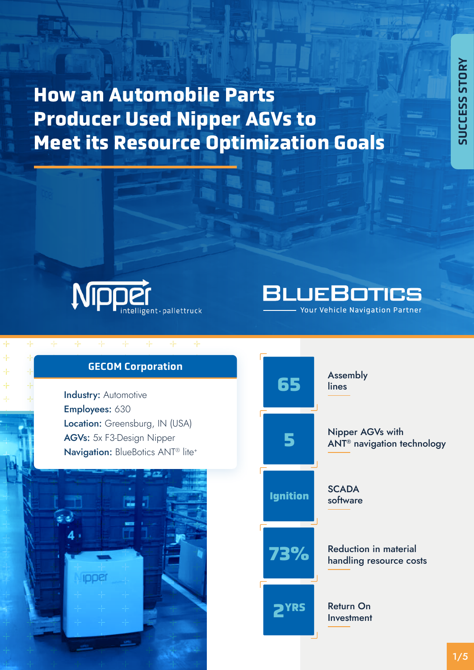# **How an Automobile Parts Producer Used Nipper AGVs to Meet its Resource Optimization Goals**





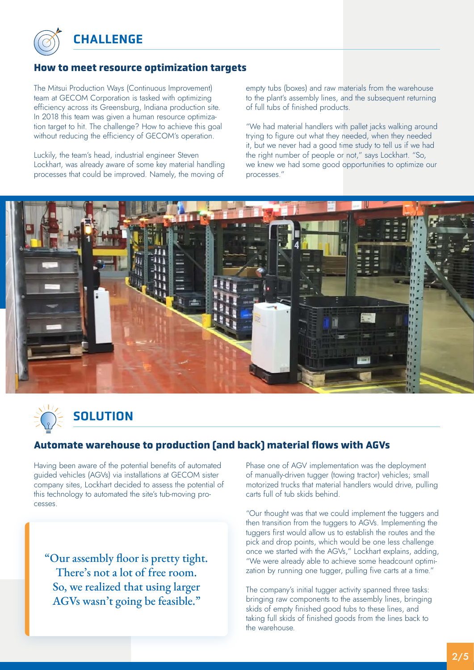

**CHALLENGE** 

## **How to meet resource optimization targets**

The Mitsui Production Ways (Continuous Improvement) team at GECOM Corporation is tasked with optimizing efficiency across its Greensburg, Indiana production site. In 2018 this team was given a human resource optimization target to hit. The challenge? How to achieve this goal without reducing the efficiency of GECOM's operation.

Luckily, the team's head, industrial engineer Steven Lockhart, was already aware of some key material handling processes that could be improved. Namely, the moving of

empty tubs (boxes) and raw materials from the warehouse to the plant's assembly lines, and the subsequent returning of full tubs of finished products.

"We had material handlers with pallet jacks walking around trying to figure out what they needed, when they needed it, but we never had a good time study to tell us if we had the right number of people or not," says Lockhart. "So, we knew we had some good opportunities to optimize our processes."





## **Automate warehouse to production (and back) material flows with AGVs**

Having been aware of the potential benefits of automated guided vehicles (AGVs) via installations at GECOM sister company sites, Lockhart decided to assess the potential of this technology to automated the site's tub-moving processes.

"Our assembly floor is pretty tight. There's not a lot of free room. So, we realized that using larger AGVs wasn't going be feasible."

Phase one of AGV implementation was the deployment of manually-driven tugger (towing tractor) vehicles; small motorized trucks that material handlers would drive, pulling carts full of tub skids behind.

"Our thought was that we could implement the tuggers and then transition from the tuggers to AGVs. Implementing the tuggers first would allow us to establish the routes and the pick and drop points, which would be one less challenge once we started with the AGVs," Lockhart explains, adding, "We were already able to achieve some headcount optimization by running one tugger, pulling five carts at a time."

The company's initial tugger activity spanned three tasks: bringing raw components to the assembly lines, bringing skids of empty finished good tubs to these lines, and taking full skids of finished goods from the lines back to the warehouse.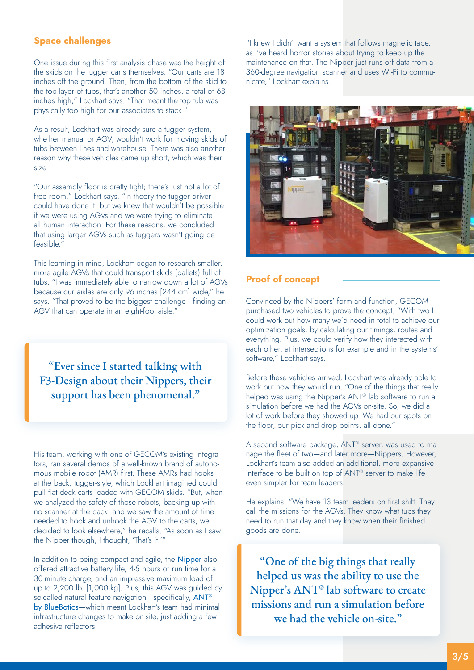#### **Space challenges**

One issue during this first analysis phase was the height of the skids on the tugger carts themselves. "Our carts are 18 inches off the ground. Then, from the bottom of the skid to the top layer of tubs, that's another 50 inches, a total of 68 inches high," Lockhart says. "That meant the top tub was physically too high for our associates to stack."

As a result, Lockhart was already sure a tugger system, whether manual or AGV, wouldn't work for moving skids of tubs between lines and warehouse. There was also another reason why these vehicles came up short, which was their size.

"Our assembly floor is pretty tight; there's just not a lot of free room," Lockhart says. "In theory the tugger driver could have done it, but we knew that wouldn't be possible if we were using AGVs and we were trying to eliminate all human interaction. For these reasons, we concluded that using larger AGVs such as tuggers wasn't going be feasible."

This learning in mind, Lockhart began to research smaller, more agile AGVs that could transport skids (pallets) full of tubs. "I was immediately able to narrow down a lot of AGVs because our aisles are only 96 inches [244 cm] wide," he says. "That proved to be the biggest challenge—finding an AGV that can operate in an eight-foot aisle."

"Ever since I started talking with F3-Design about their Nippers, their support has been phenomenal."

His team, working with one of GECOM's existing integrators, ran several demos of a well-known brand of autonomous mobile robot (AMR) first. These AMRs had hooks at the back, tugger-style, which Lockhart imagined could pull flat deck carts loaded with GECOM skids. "But, when we analyzed the safety of those robots, backing up with no scanner at the back, and we saw the amount of time needed to hook and unhook the AGV to the carts, we decided to look elsewhere," he recalls. "As soon as I saw the Nipper though, I thought, 'That's it!'"

In addition to being compact and agile, the **[Nipper](https://www.nipperagv.com/)** also offered attractive battery life, 4-5 hours of run time for a 30-minute charge, and an impressive maximum load of up to 2,200 lb. [1,000 kg]. Plus, this AGV was guided by so-called natural feature navigation—specifically, ANT<sup>®</sup> [by BlueBotics](https://www.bluebotics.com/products/)—which meant Lockhart's team had minimal infrastructure changes to make on-site, just adding a few adhesive reflectors.

"I knew I didn't want a system that follows magnetic tape, as I've heard horror stories about trying to keep up the maintenance on that. The Nipper just runs off data from a 360-degree navigation scanner and uses Wi-Fi to communicate," Lockhart explains.



#### **Proof of concept**

Convinced by the Nippers' form and function, GECOM purchased two vehicles to prove the concept. "With two I could work out how many we'd need in total to achieve our optimization goals, by calculating our timings, routes and everything. Plus, we could verify how they interacted with each other, at intersections for example and in the systems' software," Lockhart says.

Before these vehicles arrived, Lockhart was already able to work out how they would run. "One of the things that really helped was using the Nipper's ANT<sup>®</sup> lab software to run a simulation before we had the AGVs on-site. So, we did a lot of work before they showed up. We had our spots on the floor, our pick and drop points, all done."

A second software package, ANT® server, was used to manage the fleet of two—and later more—Nippers. However, Lockhart's team also added an additional, more expansive interface to be built on top of ANT® server to make life even simpler for team leaders.

He explains: "We have 13 team leaders on first shift. They call the missions for the AGVs. They know what tubs they need to run that day and they know when their finished goods are done.

"One of the big things that really helped us was the ability to use the Nipper's ANT® lab software to create missions and run a simulation before we had the vehicle on-site."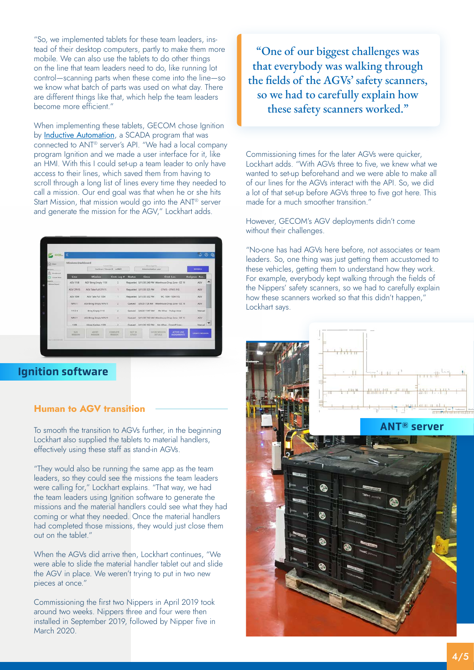"So, we implemented tablets for these team leaders, instead of their desktop computers, partly to make them more mobile. We can also use the tablets to do other things on the line that team leaders need to do, like running lot control—scanning parts when these come into the line—so we know what batch of parts was used on what day. There are different things like that, which help the team leaders become more efficient."

When implementing these tablets, GECOM chose Ignition by [Inductive Automation](https://inductiveautomation.com/), a SCADA program that was connected to ANT® server's API. "We had a local company program Ignition and we made a user interface for it, like an HMI. With this I could set-up a team leader to only have access to their lines, which saved them from having to scroll through a long list of lines every time they needed to call a mission. Our end goal was that when he or she hits Start Mission, that mission would go into the ANT® server and generate the mission for the AGV," Lockhart adds.

|                       | «                                                                                                        |                         |                            |                                |                                                     |                                       |                                          | D <sub>o</sub>        |
|-----------------------|----------------------------------------------------------------------------------------------------------|-------------------------|----------------------------|--------------------------------|-----------------------------------------------------|---------------------------------------|------------------------------------------|-----------------------|
| COL HOME<br>R. Daniel | Missions Dashboard<br>Show Legi For-<br>Execut time.<br>Lockhart, Steven K - G/MO<br>Administrative user |                         |                            |                                |                                                     |                                       | <b>RETRESH</b>                           |                       |
| C Essale Row          | Line                                                                                                     | Mission                 | Crnt. Leg #                | <b>Status</b>                  | Since                                               |                                       | Crnt. Loc.                               | <b>Assignee Res.</b>  |
| <b>Moine Rivert</b>   | <b>AGV 1158</b>                                                                                          | AGV Bring Empty 1138    | ×                          |                                | Requested 3/11/20 240 PM Warehouse Drop Zone -DZ 19 |                                       |                                          | AGV                   |
|                       | <b>AGV CENTS</b>                                                                                         | AGV Take Full CENTS     | 1                          |                                | Requested 1/11/20 1:25 PM                           |                                       | CFN15-CFN15 F/G                          | <b>AGV</b>            |
|                       | AGV 1004                                                                                                 | AGV Take Full 1004      | T.                         |                                | Requested: 1/11/20 3:32 PM                          |                                       | WC 1004 - 1004 F/G                       | AGV.                  |
|                       | NFN11                                                                                                    | AGV Bring Empty NFN11   | z                          |                                | Queued: 1/9/20 7.28 AM Warehouse Drop Zone - DZ.18  |                                       |                                          | AGV                   |
|                       | TITLE                                                                                                    | <b>Bring Empty 1113</b> | $\overline{z}$             |                                | Queued 3/9/20 11:47 AM Mn Whse - Pickup Area -      |                                       |                                          | Manual                |
|                       | NENIT                                                                                                    | AGV Bring Empty NFN11   | ż                          | Queued                         | 3/11/20 7:42 AM Warehouse Drop Zone - DZ 12         |                                       |                                          | AGV                   |
|                       | 1109                                                                                                     | Hnge Kanben 1109        |                            |                                | Ourund. 1/11/26 152 PM. Mn White - Droopff Anni-    |                                       |                                          | Manuel                |
|                       | <b>BLIN</b><br>WHITEON                                                                                   | Abbit<br>MEERING        | COMPUTER<br><b>MISSION</b> | <b>NEST SN</b><br><b>KROCK</b> |                                                     | <b>BROW MISSION</b><br><b>DETAILS</b> | <b>ACTIVE LIME</b><br><b>ASSIGNMENTS</b> | <b>CREATE MISSION</b> |

# Ignition software

#### **Human to AGV transition**

To smooth the transition to AGVs further, in the beginning Lockhart also supplied the tablets to material handlers, effectively using these staff as stand-in AGVs.

"They would also be running the same app as the team leaders, so they could see the missions the team leaders were calling for," Lockhart explains. "That way, we had the team leaders using Ignition software to generate the missions and the material handlers could see what they had coming or what they needed. Once the material handlers had completed those missions, they would just close them out on the tablet."

When the AGVs did arrive then, Lockhart continues, "We were able to slide the material handler tablet out and slide the AGV in place. We weren't trying to put in two new pieces at once."

Commissioning the first two Nippers in April 2019 took around two weeks. Nippers three and four were then installed in September 2019, followed by Nipper five in March 2020.

"One of our biggest challenges was that everybody was walking through the fields of the AGVs' safety scanners, so we had to carefully explain how these safety scanners worked."

Commissioning times for the later AGVs were quicker, Lockhart adds. "With AGVs three to five, we knew what we wanted to set-up beforehand and we were able to make all of our lines for the AGVs interact with the API. So, we did a lot of that set-up before AGVs three to five got here. This made for a much smoother transition."

However, GECOM's AGV deployments didn't come without their challenges.

"No-one has had AGVs here before, not associates or team leaders. So, one thing was just getting them accustomed to these vehicles, getting them to understand how they work. For example, everybody kept walking through the fields of the Nippers' safety scanners, so we had to carefully explain how these scanners worked so that this didn't happen," Lockhart says.